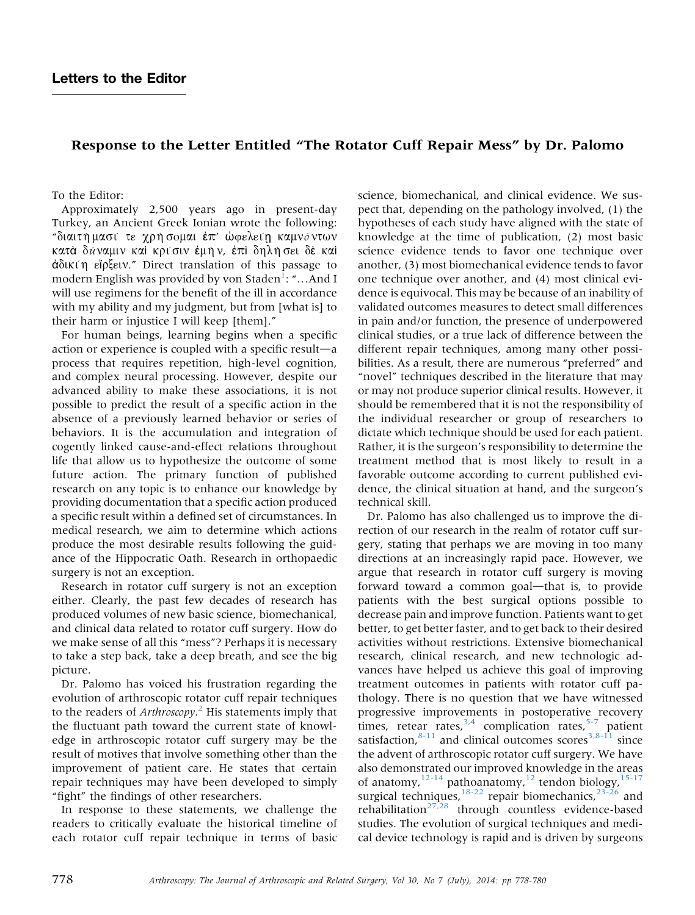# Response to the Letter Entitled "The Rotator Cuff Repair Mess" by Dr. Palomo

To the Editor:

Approximately 2,500 years ago in present-day Turkey, an Ancient Greek Ionian wrote the following: "διαιτήμασί τε χρήσομαι ἐπ΄ ὢφελείῃ καμνόντων κατὰ δ*ú* ναμιν καὶ κρίσιν ἐμήν, ἐπὶ δηλήσει δὲ καὶ  $\dot{\alpha}$ δικίη εἴρξειν." Direct translation of this passage to modern English was provided by von Staden $^{\hat{1}}$  $^{\hat{1}}$  $^{\hat{1}}$ : "...And I will use regimens for the benefit of the ill in accordance with my ability and my judgment, but from [what is] to their harm or injustice I will keep [them]."

For human beings, learning begins when a specific action or experience is coupled with a specific result—a process that requires repetition, high-level cognition, and complex neural processing. However, despite our advanced ability to make these associations, it is not possible to predict the result of a specific action in the absence of a previously learned behavior or series of behaviors. It is the accumulation and integration of cogently linked cause-and-effect relations throughout life that allow us to hypothesize the outcome of some future action. The primary function of published research on any topic is to enhance our knowledge by providing documentation that a specific action produced a specific result within a defined set of circumstances. In medical research, we aim to determine which actions produce the most desirable results following the guidance of the Hippocratic Oath. Research in orthopaedic surgery is not an exception.

Research in rotator cuff surgery is not an exception either. Clearly, the past few decades of research has produced volumes of new basic science, biomechanical, and clinical data related to rotator cuff surgery. How do we make sense of all this "mess"? Perhaps it is necessary to take a step back, take a deep breath, and see the big picture.

Dr. Palomo has voiced his frustration regarding the evolution of arthroscopic rotator cuff repair techniques to the readers of Arthroscopy.<sup>[2](#page-1-0)</sup> His statements imply that the fluctuant path toward the current state of knowledge in arthroscopic rotator cuff surgery may be the result of motives that involve something other than the improvement of patient care. He states that certain repair techniques may have been developed to simply "fight" the findings of other researchers.

In response to these statements, we challenge the readers to critically evaluate the historical timeline of each rotator cuff repair technique in terms of basic science, biomechanical, and clinical evidence. We suspect that, depending on the pathology involved, (1) the hypotheses of each study have aligned with the state of knowledge at the time of publication, (2) most basic science evidence tends to favor one technique over another, (3) most biomechanical evidence tends to favor one technique over another, and (4) most clinical evidence is equivocal. This may be because of an inability of validated outcomes measures to detect small differences in pain and/or function, the presence of underpowered clinical studies, or a true lack of difference between the different repair techniques, among many other possibilities. As a result, there are numerous "preferred" and "novel" techniques described in the literature that may or may not produce superior clinical results. However, it should be remembered that it is not the responsibility of the individual researcher or group of researchers to dictate which technique should be used for each patient. Rather, it is the surgeon's responsibility to determine the treatment method that is most likely to result in a favorable outcome according to current published evidence, the clinical situation at hand, and the surgeon's technical skill.

Dr. Palomo has also challenged us to improve the direction of our research in the realm of rotator cuff surgery, stating that perhaps we are moving in too many directions at an increasingly rapid pace. However, we argue that research in rotator cuff surgery is moving forward toward a common goal—that is, to provide patients with the best surgical options possible to decrease pain and improve function. Patients want to get better, to get better faster, and to get back to their desired activities without restrictions. Extensive biomechanical research, clinical research, and new technologic advances have helped us achieve this goal of improving treatment outcomes in patients with rotator cuff pathology. There is no question that we have witnessed progressive improvements in postoperative recovery times, retear rates,  $3.4$  complication rates,  $5-7$  patient satisfaction, $8-11$  and clinical outcomes scores  $3.8-11$  since the advent of arthroscopic rotator cuff surgery. We have also demonstrated our improved knowledge in the areas of anatomy, $12-14$  pathoanatomy, $12$  tendon biology,  $15-17$ surgical techniques,  $18-22$  repair biomechanics,  $23-26$  and rehabilitation<sup>[27,28](#page-2-0)</sup> through countless evidence-based studies. The evolution of surgical techniques and medical device technology is rapid and is driven by surgeons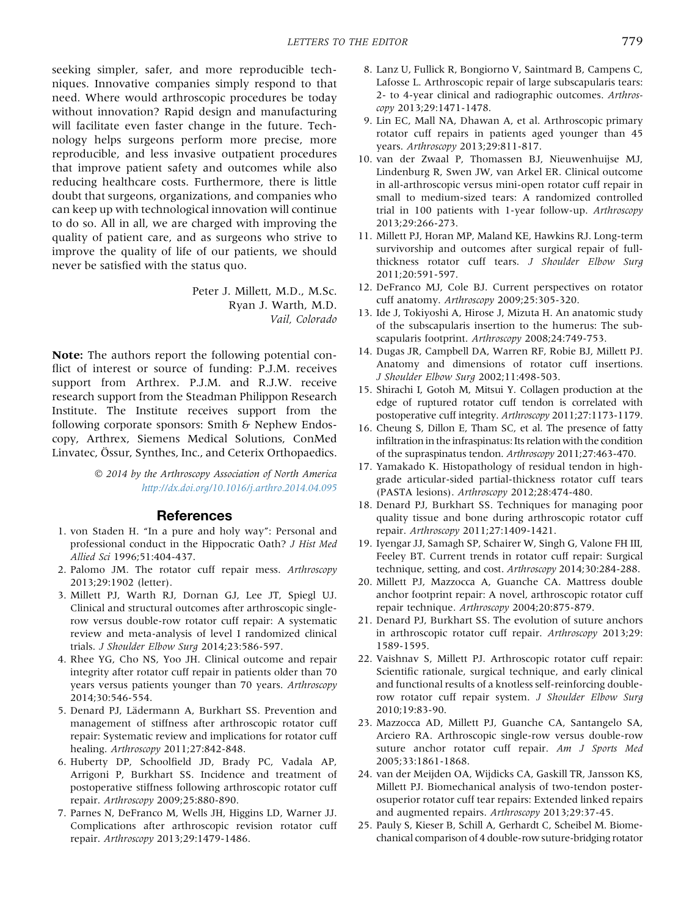<span id="page-1-0"></span>seeking simpler, safer, and more reproducible techniques. Innovative companies simply respond to that need. Where would arthroscopic procedures be today without innovation? Rapid design and manufacturing will facilitate even faster change in the future. Technology helps surgeons perform more precise, more reproducible, and less invasive outpatient procedures that improve patient safety and outcomes while also reducing healthcare costs. Furthermore, there is little doubt that surgeons, organizations, and companies who can keep up with technological innovation will continue to do so. All in all, we are charged with improving the quality of patient care, and as surgeons who strive to improve the quality of life of our patients, we should never be satisfied with the status quo.

> Peter J. Millett, M.D., M.Sc. Ryan J. Warth, M.D. Vail, Colorado

Note: The authors report the following potential conflict of interest or source of funding: P.J.M. receives support from Arthrex. P.J.M. and R.J.W. receive research support from the Steadman Philippon Research Institute. The Institute receives support from the following corporate sponsors: Smith & Nephew Endoscopy, Arthrex, Siemens Medical Solutions, ConMed Linvatec, Össur, Synthes, Inc., and Ceterix Orthopaedics.

> 2014 by the Arthroscopy Association of North America <http://dx.doi.org/10.1016/j.arthro.2014.04.095>

#### References

- 1. von Staden H. "In a pure and holy way": Personal and professional conduct in the Hippocratic Oath? J Hist Med Allied Sci 1996;51:404-437.
- 2. Palomo JM. The rotator cuff repair mess. Arthroscopy 2013;29:1902 (letter).
- 3. Millett PJ, Warth RJ, Dornan GJ, Lee JT, Spiegl UJ. Clinical and structural outcomes after arthroscopic singlerow versus double-row rotator cuff repair: A systematic review and meta-analysis of level I randomized clinical trials. J Shoulder Elbow Surg 2014;23:586-597.
- 4. Rhee YG, Cho NS, Yoo JH. Clinical outcome and repair integrity after rotator cuff repair in patients older than 70 years versus patients younger than 70 years. Arthroscopy 2014;30:546-554.
- 5. Denard PJ, Lädermann A, Burkhart SS. Prevention and management of stiffness after arthroscopic rotator cuff repair: Systematic review and implications for rotator cuff healing. Arthroscopy 2011;27:842-848.
- 6. Huberty DP, Schoolfield JD, Brady PC, Vadala AP, Arrigoni P, Burkhart SS. Incidence and treatment of postoperative stiffness following arthroscopic rotator cuff repair. Arthroscopy 2009;25:880-890.
- 7. Parnes N, DeFranco M, Wells JH, Higgins LD, Warner JJ. Complications after arthroscopic revision rotator cuff repair. Arthroscopy 2013;29:1479-1486.
- 8. Lanz U, Fullick R, Bongiorno V, Saintmard B, Campens C, Lafosse L. Arthroscopic repair of large subscapularis tears: 2- to 4-year clinical and radiographic outcomes. Arthroscopy 2013;29:1471-1478.
- 9. Lin EC, Mall NA, Dhawan A, et al. Arthroscopic primary rotator cuff repairs in patients aged younger than 45 years. Arthroscopy 2013;29:811-817.
- 10. van der Zwaal P, Thomassen BJ, Nieuwenhuijse MJ, Lindenburg R, Swen JW, van Arkel ER. Clinical outcome in all-arthroscopic versus mini-open rotator cuff repair in small to medium-sized tears: A randomized controlled trial in 100 patients with 1-year follow-up. Arthroscopy 2013;29:266-273.
- 11. Millett PJ, Horan MP, Maland KE, Hawkins RJ. Long-term survivorship and outcomes after surgical repair of fullthickness rotator cuff tears. J Shoulder Elbow Surg 2011;20:591-597.
- 12. DeFranco MJ, Cole BJ. Current perspectives on rotator cuff anatomy. Arthroscopy 2009;25:305-320.
- 13. Ide J, Tokiyoshi A, Hirose J, Mizuta H. An anatomic study of the subscapularis insertion to the humerus: The subscapularis footprint. Arthroscopy 2008;24:749-753.
- 14. Dugas JR, Campbell DA, Warren RF, Robie BJ, Millett PJ. Anatomy and dimensions of rotator cuff insertions. J Shoulder Elbow Surg 2002;11:498-503.
- 15. Shirachi I, Gotoh M, Mitsui Y. Collagen production at the edge of ruptured rotator cuff tendon is correlated with postoperative cuff integrity. Arthroscopy 2011;27:1173-1179.
- 16. Cheung S, Dillon E, Tham SC, et al. The presence of fatty infiltration in the infraspinatus: Its relation with the condition of the supraspinatus tendon. Arthroscopy 2011;27:463-470.
- 17. Yamakado K. Histopathology of residual tendon in highgrade articular-sided partial-thickness rotator cuff tears (PASTA lesions). Arthroscopy 2012;28:474-480.
- 18. Denard PJ, Burkhart SS. Techniques for managing poor quality tissue and bone during arthroscopic rotator cuff repair. Arthroscopy 2011;27:1409-1421.
- 19. Iyengar JJ, Samagh SP, Schairer W, Singh G, Valone FH III, Feeley BT. Current trends in rotator cuff repair: Surgical technique, setting, and cost. Arthroscopy 2014;30:284-288.
- 20. Millett PJ, Mazzocca A, Guanche CA. Mattress double anchor footprint repair: A novel, arthroscopic rotator cuff repair technique. Arthroscopy 2004;20:875-879.
- 21. Denard PJ, Burkhart SS. The evolution of suture anchors in arthroscopic rotator cuff repair. Arthroscopy 2013;29: 1589-1595.
- 22. Vaishnav S, Millett PJ. Arthroscopic rotator cuff repair: Scientific rationale, surgical technique, and early clinical and functional results of a knotless self-reinforcing doublerow rotator cuff repair system. J Shoulder Elbow Surg 2010;19:83-90.
- 23. Mazzocca AD, Millett PJ, Guanche CA, Santangelo SA, Arciero RA. Arthroscopic single-row versus double-row suture anchor rotator cuff repair. Am J Sports Med 2005;33:1861-1868.
- 24. van der Meijden OA, Wijdicks CA, Gaskill TR, Jansson KS, Millett PJ. Biomechanical analysis of two-tendon posterosuperior rotator cuff tear repairs: Extended linked repairs and augmented repairs. Arthroscopy 2013;29:37-45.
- 25. Pauly S, Kieser B, Schill A, Gerhardt C, Scheibel M. Biomechanical comparison of 4 double-row suture-bridging rotator